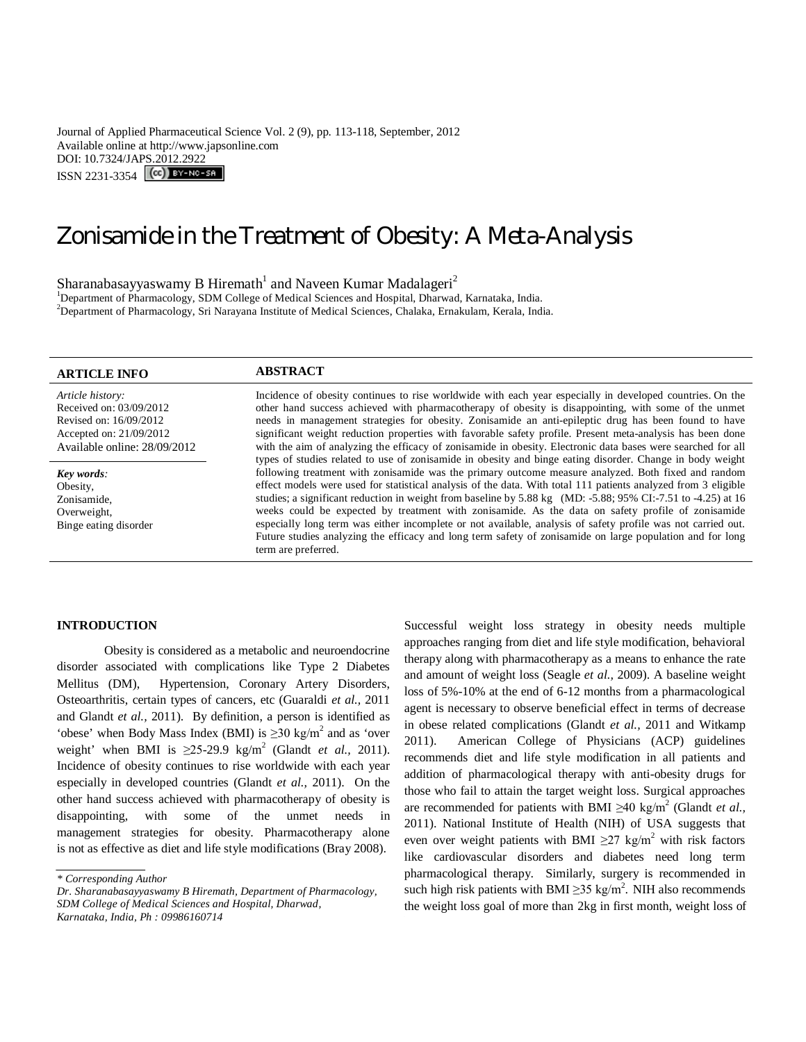Journal of Applied Pharmaceutical Science Vol. 2 (9), pp. 113-118, September, 2012 Available online at http://www.japsonline.com DOI: 10.7324/JAPS.2012.2922 ISSN 2231-3354 (CC) BY-NC-SA

# Zonisamide in the Treatment of Obesity: A Meta-Analysis

Sharanabasayyaswamy B $\rm\,H$ iremath $^1$  and Naveen Kumar Madalageri $^2$ 

<sup>1</sup>Department of Pharmacology, SDM College of Medical Sciences and Hospital, Dharwad, Karnataka, India. <sup>2</sup>Department of Pharmacology, Sri Narayana Institute of Medical Sciences, Chalaka, Ernakulam, Kerala, India.

| <b>ARTICLE INFO</b>                                                                                                              | <b>ABSTRACT</b>                                                                                                                                                                                                                                                                                                                                                                                                                                                                                                                                                                                                                                                                                                                                                                                             |
|----------------------------------------------------------------------------------------------------------------------------------|-------------------------------------------------------------------------------------------------------------------------------------------------------------------------------------------------------------------------------------------------------------------------------------------------------------------------------------------------------------------------------------------------------------------------------------------------------------------------------------------------------------------------------------------------------------------------------------------------------------------------------------------------------------------------------------------------------------------------------------------------------------------------------------------------------------|
| Article history:<br>Received on: 03/09/2012<br>Revised on: 16/09/2012<br>Accepted on: 21/09/2012<br>Available online: 28/09/2012 | Incidence of obesity continues to rise worldwide with each year especially in developed countries. On the<br>other hand success achieved with pharmacotherapy of obesity is disappointing, with some of the unmet<br>needs in management strategies for obesity. Zonisamide an anti-epileptic drug has been found to have<br>significant weight reduction properties with favorable safety profile. Present meta-analysis has been done<br>with the aim of analyzing the efficacy of zonisamide in obesity. Electronic data bases were searched for all                                                                                                                                                                                                                                                     |
| Key words:<br>Obesity,<br>Zonisamide.<br>Overweight,<br>Binge eating disorder                                                    | types of studies related to use of zonisamide in obesity and binge eating disorder. Change in body weight<br>following treatment with zonisamide was the primary outcome measure analyzed. Both fixed and random<br>effect models were used for statistical analysis of the data. With total 111 patients analyzed from 3 eligible<br>studies; a significant reduction in weight from baseline by 5.88 kg (MD: -5.88; 95% CI:-7.51 to -4.25) at 16<br>weeks could be expected by treatment with zonisamide. As the data on safety profile of zonisamide<br>especially long term was either incomplete or not available, analysis of safety profile was not carried out.<br>Future studies analyzing the efficacy and long term safety of zonisamide on large population and for long<br>term are preferred. |

### **INTRODUCTION**

Obesity is considered as a metabolic and neuroendocrine disorder associated with complications like Type 2 Diabetes Mellitus (DM), Hypertension, Coronary Artery Disorders, Osteoarthritis, certain types of cancers, etc (Guaraldi *et al.,* 2011 and Glandt *et al.,* 2011). By definition, a person is identified as 'obese' when Body Mass Index (BMI) is  $\geq$ 30 kg/m<sup>2</sup> and as 'over weight' when BMI is  $\geq 25{\text -}29.9 \text{ kg/m}^2$  (Glandt *et al.*, 2011). Incidence of obesity continues to rise worldwide with each year especially in developed countries (Glandt *et al.,* 2011). On the other hand success achieved with pharmacotherapy of obesity is disappointing, with some of the unmet needs in management strategies for obesity. Pharmacotherapy alone is not as effective as diet and life style modifications (Bray 2008)..

Successful weight loss strategy in obesity needs multiple approaches ranging from diet and life style modification, behavioral therapy along with pharmacotherapy as a means to enhance the rate and amount of weight loss (Seagle *et al.,* 2009). A baseline weight loss of 5%-10% at the end of 6-12 months from a pharmacological agent is necessary to observe beneficial effect in terms of decrease in obese related complications (Glandt *et al.,* 2011 and Witkamp 2011). American College of Physicians (ACP) guidelines recommends diet and life style modification in all patients and addition of pharmacological therapy with anti-obesity drugs for those who fail to attain the target weight loss. Surgical approaches are recommended for patients with BMI  $\geq 40$  kg/m<sup>2</sup> (Glandt *et al.*, 2011). National Institute of Health (NIH) of USA suggests that even over weight patients with BMI  $\geq$ 27 kg/m<sup>2</sup> with risk factors like cardiovascular disorders and diabetes need long term pharmacological therapy. Similarly, surgery is recommended in such high risk patients with BMI  $\geq$ 35 kg/m<sup>2</sup>. NIH also recommends the weight loss goal of more than 2kg in first month, weight loss of

*<sup>\*</sup> Corresponding Author*

*Dr. Sharanabasayyaswamy B Hiremath, Department of Pharmacology, SDM College of Medical Sciences and Hospital, Dharwad, Karnataka, India, Ph : 09986160714*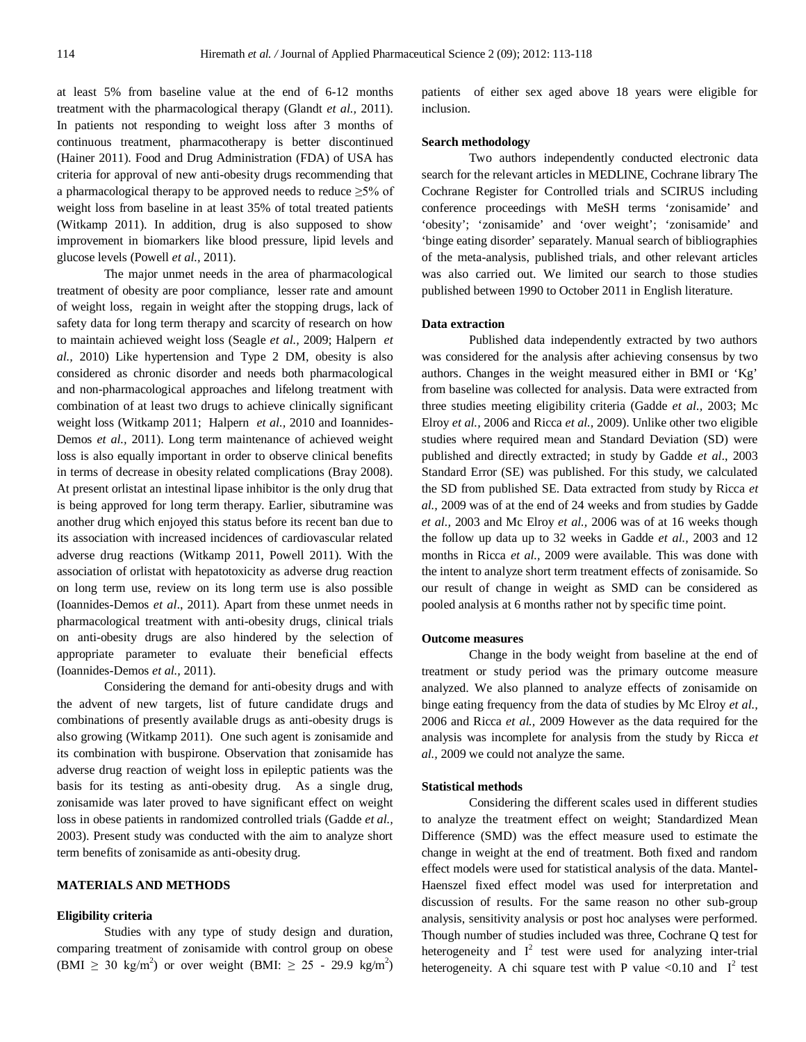at least 5% from baseline value at the end of 6-12 months treatment with the pharmacological therapy (Glandt *et al.,* 2011). In patients not responding to weight loss after 3 months of continuous treatment, pharmacotherapy is better discontinued (Hainer 2011). Food and Drug Administration (FDA) of USA has criteria for approval of new anti-obesity drugs recommending that a pharmacological therapy to be approved needs to reduce  $\geq 5\%$  of weight loss from baseline in at least 35% of total treated patients (Witkamp 2011). In addition, drug is also supposed to show improvement in biomarkers like blood pressure, lipid levels and glucose levels (Powell *et al.,* 2011).

The major unmet needs in the area of pharmacological treatment of obesity are poor compliance, lesser rate and amount of weight loss, regain in weight after the stopping drugs, lack of safety data for long term therapy and scarcity of research on how to maintain achieved weight loss (Seagle *et al.,* 2009; Halpern *et al.,* 2010) Like hypertension and Type 2 DM, obesity is also considered as chronic disorder and needs both pharmacological and non-pharmacological approaches and lifelong treatment with combination of at least two drugs to achieve clinically significant weight loss (Witkamp 2011; Halpern *et al.,* 2010 and Ioannides-Demos *et al.,* 2011). Long term maintenance of achieved weight loss is also equally important in order to observe clinical benefits in terms of decrease in obesity related complications (Bray 2008). At present orlistat an intestinal lipase inhibitor is the only drug that is being approved for long term therapy. Earlier, sibutramine was another drug which enjoyed this status before its recent ban due to its association with increased incidences of cardiovascular related adverse drug reactions (Witkamp 2011, Powell 2011). With the association of orlistat with hepatotoxicity as adverse drug reaction on long term use, review on its long term use is also possible (Ioannides-Demos *et al*., 2011). Apart from these unmet needs in pharmacological treatment with anti-obesity drugs, clinical trials on anti-obesity drugs are also hindered by the selection of appropriate parameter to evaluate their beneficial effects (Ioannides-Demos *et al.,* 2011).

Considering the demand for anti-obesity drugs and with the advent of new targets, list of future candidate drugs and combinations of presently available drugs as anti-obesity drugs is also growing (Witkamp 2011). One such agent is zonisamide and its combination with buspirone. Observation that zonisamide has adverse drug reaction of weight loss in epileptic patients was the basis for its testing as anti-obesity drug. As a single drug, zonisamide was later proved to have significant effect on weight loss in obese patients in randomized controlled trials (Gadde *et al.,* 2003). Present study was conducted with the aim to analyze short term benefits of zonisamide as anti-obesity drug.

#### **MATERIALS AND METHODS**

#### **Eligibility criteria**

Studies with any type of study design and duration, comparing treatment of zonisamide with control group on obese (BMI  $\geq$  30 kg/m<sup>2</sup>) or over weight (BMI:  $\geq$  25 - 29.9 kg/m<sup>2</sup>) patients of either sex aged above 18 years were eligible for inclusion.

#### **Search methodology**

Two authors independently conducted electronic data search for the relevant articles in MEDLINE, Cochrane library The Cochrane Register for Controlled trials and SCIRUS including conference proceedings with MeSH terms 'zonisamide' and 'obesity'; 'zonisamide' and 'over weight'; 'zonisamide' and 'binge eating disorder' separately. Manual search of bibliographies of the meta-analysis, published trials, and other relevant articles was also carried out. We limited our search to those studies published between 1990 to October 2011 in English literature.

## **Data extraction**

Published data independently extracted by two authors was considered for the analysis after achieving consensus by two authors. Changes in the weight measured either in BMI or 'Kg' from baseline was collected for analysis. Data were extracted from three studies meeting eligibility criteria (Gadde *et al.,* 2003; Mc Elroy *et al.,* 2006 and Ricca *et al.,* 2009). Unlike other two eligible studies where required mean and Standard Deviation (SD) were published and directly extracted; in study by Gadde *et al*., 2003 Standard Error (SE) was published. For this study, we calculated the SD from published SE. Data extracted from study by Ricca *et al.,* 2009 was of at the end of 24 weeks and from studies by Gadde *et al.,* 2003 and Mc Elroy *et al.,* 2006 was of at 16 weeks though the follow up data up to 32 weeks in Gadde *et al.,* 2003 and 12 months in Ricca *et al.,* 2009 were available. This was done with the intent to analyze short term treatment effects of zonisamide. So our result of change in weight as SMD can be considered as pooled analysis at 6 months rather not by specific time point.

#### **Outcome measures**

Change in the body weight from baseline at the end of treatment or study period was the primary outcome measure analyzed. We also planned to analyze effects of zonisamide on binge eating frequency from the data of studies by Mc Elroy *et al.,* 2006 and Ricca *et al.,* 2009 However as the data required for the analysis was incomplete for analysis from the study by Ricca *et al.,* 2009 we could not analyze the same.

#### **Statistical methods**

Considering the different scales used in different studies to analyze the treatment effect on weight; Standardized Mean Difference (SMD) was the effect measure used to estimate the change in weight at the end of treatment. Both fixed and random effect models were used for statistical analysis of the data. Mantel**-**Haenszel fixed effect model was used for interpretation and discussion of results. For the same reason no other sub-group analysis, sensitivity analysis or post hoc analyses were performed. Though number of studies included was three, Cochrane Q test for heterogeneity and  $I^2$  test were used for analyzing inter-trial heterogeneity. A chi square test with P value  $\langle 0.10 \text{ and } I^2 \text{ test} \rangle$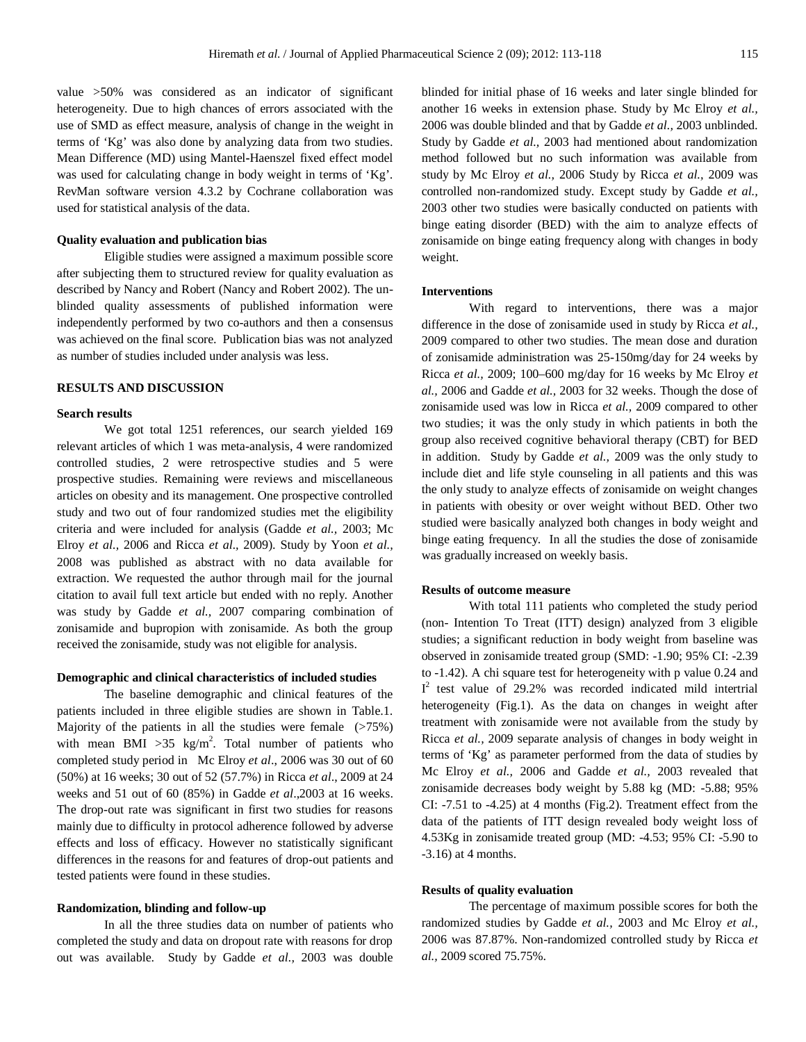value >50% was considered as an indicator of significant heterogeneity. Due to high chances of errors associated with the use of SMD as effect measure, analysis of change in the weight in terms of 'Kg' was also done by analyzing data from two studies. Mean Difference (MD) using Mantel**-**Haenszel fixed effect model was used for calculating change in body weight in terms of 'Kg'. RevMan software version 4.3.2 by Cochrane collaboration was used for statistical analysis of the data.

# **Quality evaluation and publication bias**

Eligible studies were assigned a maximum possible score after subjecting them to structured review for quality evaluation as described by Nancy and Robert (Nancy and Robert 2002). The unblinded quality assessments of published information were independently performed by two co-authors and then a consensus was achieved on the final score. Publication bias was not analyzed as number of studies included under analysis was less.

#### **RESULTS AND DISCUSSION**

## **Search results**

We got total 1251 references, our search yielded 169 relevant articles of which 1 was meta-analysis, 4 were randomized controlled studies, 2 were retrospective studies and 5 were prospective studies. Remaining were reviews and miscellaneous articles on obesity and its management. One prospective controlled study and two out of four randomized studies met the eligibility criteria and were included for analysis (Gadde *et al.,* 2003; Mc Elroy *et al.,* 2006 and Ricca *et al.,* 2009). Study by Yoon *et al.,* 2008 was published as abstract with no data available for extraction. We requested the author through mail for the journal citation to avail full text article but ended with no reply. Another was study by Gadde *et al.,* 2007 comparing combination of zonisamide and bupropion with zonisamide. As both the group received the zonisamide, study was not eligible for analysis.

#### **Demographic and clinical characteristics of included studies**

The baseline demographic and clinical features of the patients included in three eligible studies are shown in Table.1. Majority of the patients in all the studies were female  $($ >75%) with mean BMI  $>35$  kg/m<sup>2</sup>. Total number of patients who completed study period in Mc Elroy *et al*., 2006 was 30 out of 60 (50%) at 16 weeks; 30 out of 52 (57.7%) in Ricca *et al*., 2009 at 24 weeks and 51 out of 60 (85%) in Gadde *et al*.,2003 at 16 weeks. The drop-out rate was significant in first two studies for reasons mainly due to difficulty in protocol adherence followed by adverse effects and loss of efficacy. However no statistically significant differences in the reasons for and features of drop-out patients and tested patients were found in these studies.

#### **Randomization, blinding and follow-up**

In all the three studies data on number of patients who completed the study and data on dropout rate with reasons for drop out was available. Study by Gadde *et al.,* 2003 was double blinded for initial phase of 16 weeks and later single blinded for another 16 weeks in extension phase. Study by Mc Elroy *et al.,* 2006 was double blinded and that by Gadde *et al.,* 2003 unblinded. Study by Gadde *et al.,* 2003 had mentioned about randomization method followed but no such information was available from study by Mc Elroy *et al.,* 2006 Study by Ricca *et al.,* 2009 was controlled non-randomized study. Except study by Gadde *et al.,* 2003 other two studies were basically conducted on patients with binge eating disorder (BED) with the aim to analyze effects of zonisamide on binge eating frequency along with changes in body weight.

## **Interventions**

With regard to interventions, there was a major difference in the dose of zonisamide used in study by Ricca *et al.,* 2009 compared to other two studies. The mean dose and duration of zonisamide administration was 25-150mg/day for 24 weeks by Ricca *et al.,* 2009; 100–600 mg/day for 16 weeks by Mc Elroy *et al.,* 2006 and Gadde *et al.,* 2003 for 32 weeks. Though the dose of zonisamide used was low in Ricca *et al.,* 2009 compared to other two studies; it was the only study in which patients in both the group also received cognitive behavioral therapy (CBT) for BED in addition. Study by Gadde *et al.,* 2009 was the only study to include diet and life style counseling in all patients and this was the only study to analyze effects of zonisamide on weight changes in patients with obesity or over weight without BED. Other two studied were basically analyzed both changes in body weight and binge eating frequency. In all the studies the dose of zonisamide was gradually increased on weekly basis.

#### **Results of outcome measure**

With total 111 patients who completed the study period (non- Intention To Treat (ITT) design) analyzed from 3 eligible studies; a significant reduction in body weight from baseline was observed in zonisamide treated group (SMD: -1.90; 95% CI: -2.39 to -1.42). A chi square test for heterogeneity with p value 0.24 and  $I^2$  test value of 29.2% was recorded indicated mild intertrial heterogeneity (Fig.1). As the data on changes in weight after treatment with zonisamide were not available from the study by Ricca *et al.,* 2009 separate analysis of changes in body weight in terms of 'Kg' as parameter performed from the data of studies by Mc Elroy *et al.,* 2006 and Gadde *et al.,* 2003 revealed that zonisamide decreases body weight by 5.88 kg (MD: -5.88; 95% CI: -7.51 to -4.25) at 4 months (Fig.2). Treatment effect from the data of the patients of ITT design revealed body weight loss of 4.53Kg in zonisamide treated group (MD: -4.53; 95% CI: -5.90 to -3.16) at 4 months.

## **Results of quality evaluation**

The percentage of maximum possible scores for both the randomized studies by Gadde *et al.,* 2003 and Mc Elroy *et al.,* 2006 was 87.87%. Non-randomized controlled study by Ricca *et al.,* 2009 scored 75.75%.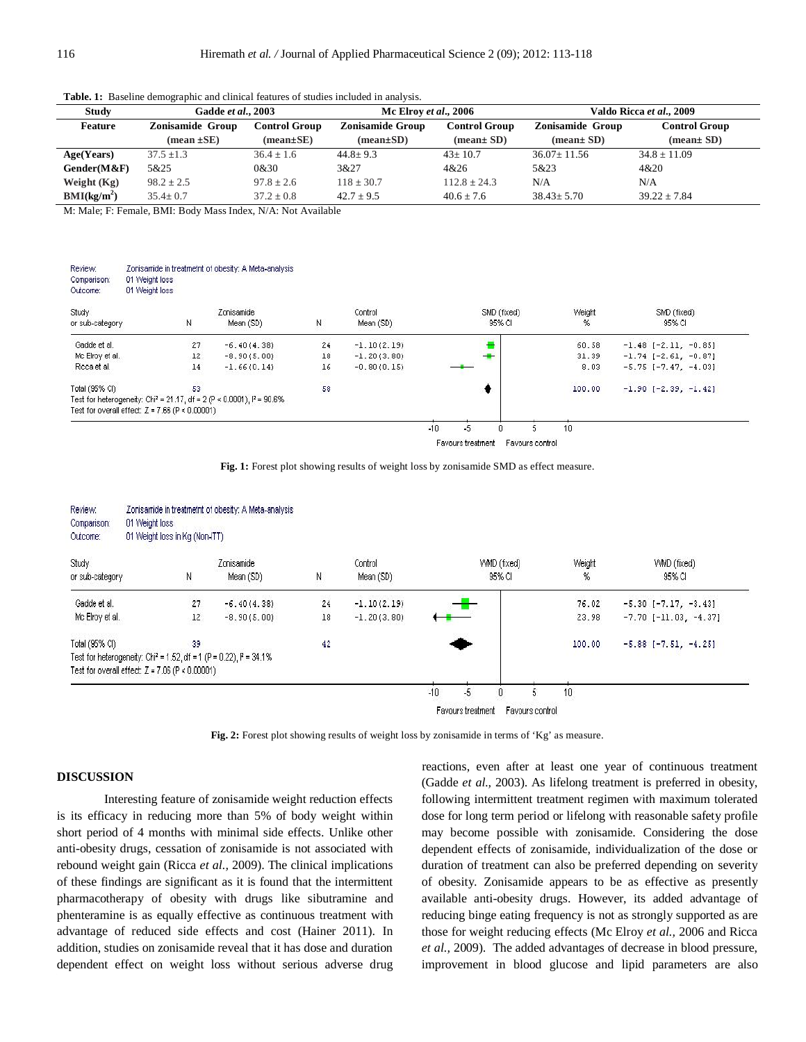| <b>Study</b>            | Gadde et al., 2003                       |                 | Mc Elroy et al., 2006                           |                  | Valdo Ricca et al., 2009      |                      |  |
|-------------------------|------------------------------------------|-----------------|-------------------------------------------------|------------------|-------------------------------|----------------------|--|
| <b>Feature</b>          | Zonisamide Group<br><b>Control Group</b> |                 | <b>Zonisamide Group</b><br><b>Control Group</b> |                  | <b>Zonisamide Group</b>       | <b>Control Group</b> |  |
|                         | $(mean \pm SE)$                          | $(mean \pm SE)$ | $(mean \pm SD)$                                 | $(mean \pm SD)$  | $(\text{mean} \pm \text{SD})$ | $(mean \pm SD)$      |  |
| Age(Years)              | $37.5 \pm 1.3$                           | $36.4 \pm 1.6$  | $44.8 \pm 9.3$                                  | $43 \pm 10.7$    | $36.07 \pm 11.56$             | $34.8 \pm 11.09$     |  |
| Gender(M&F)             | 5&25                                     | 0&30            | 3&27                                            | 4&26             | 5&23                          | 4&20                 |  |
| Weight $(Kg)$           | $98.2 \pm 2.5$                           | $97.8 \pm 2.6$  | $118 \pm 30.7$                                  | $112.8 \pm 24.3$ | N/A                           | N/A                  |  |
| BMI(kg/m <sup>2</sup> ) | $35.4 \pm 0.7$                           | $37.2 \pm 0.8$  | $42.7 + 9.5$                                    | $40.6 + 7.6$     | $38.43 \pm 5.70$              | $39.22 \pm 7.84$     |  |

**Table. 1:** Baseline demographic and clinical features of studies included in analysis.

M: Male; F: Female, BMI: Body Mass Index, N/A: Not Available

| Review:<br>Comparison:<br>Outcome: | 01 Weight loss<br>01 Weight loss                  | Zonisamide in treatmetrit of obesity: A Meta-analysis                                |    |                      |                       |             |                               |
|------------------------------------|---------------------------------------------------|--------------------------------------------------------------------------------------|----|----------------------|-----------------------|-------------|-------------------------------|
| Study<br>or sub-category           | Ν                                                 | Zonisamide<br>Mean (SD)                                                              | Ν  | Control<br>Mean (SD) | SMD (fixed)<br>95% CI | Weight<br>% | SMD (fixed)<br>95% CI         |
| Gadde et al.                       | 27                                                | $-6.40(4.38)$                                                                        | 24 | $-1.10(2.19)$        |                       | 60.58       | $-1.48$ $[-2.11, -0.85]$      |
| Mc Elroy et al.                    | 12                                                | $-8.90(5.00)$                                                                        | 18 | $-1.20(3.80)$        |                       | 31.39       | $-1.74$ [ $-2.61$ , $-0.87$ ] |
| Ricca et al.                       | 14                                                | $-1.66(0.14)$                                                                        | 16 | $-0.80(0.15)$        |                       | 8.03        | $-5.75$ [-7.47, -4.03]        |
| Total (95% CI)                     | 53                                                |                                                                                      | 58 |                      |                       | 100.00      | $-1.90$ [-2.39, -1.42]        |
|                                    |                                                   | Test for heterogeneity: Chi <sup>2</sup> = 21.17, df = 2 (P < 0.0001), $I^2$ = 90.6% |    |                      |                       |             |                               |
|                                    | Test for overall effect: $Z = 7.66$ (P < 0.00001) |                                                                                      |    |                      |                       |             |                               |

Favours treatment Favours control

|  |  |  |  |  |  | Fig. 1: Forest plot showing results of weight loss by zonisamide SMD as effect measure. |  |  |  |
|--|--|--|--|--|--|-----------------------------------------------------------------------------------------|--|--|--|
|--|--|--|--|--|--|-----------------------------------------------------------------------------------------|--|--|--|

| Review:<br>Comparison:<br>Outcome: | 01 Weight loss<br>01 Weight loss in Kg (Non-ITT)  | Zonisamide in treatmetrit of obesity: A Meta-analysis                             |    |                      |                            |    |                       |                 |                                |
|------------------------------------|---------------------------------------------------|-----------------------------------------------------------------------------------|----|----------------------|----------------------------|----|-----------------------|-----------------|--------------------------------|
| Study.<br>or sub-category          | И                                                 | Zonisamide<br>Mean (SD)                                                           | N  | Control<br>Mean (SD) |                            |    | VMD (fixed)<br>95% CI | Weight<br>%     | VWID (fixed)<br>95% CI         |
| Gadde et al.                       | 27                                                | $-6.40(4.38)$                                                                     | 24 | $-1.10(2.19)$        |                            |    |                       | 76.02           | $-5.30$ [ $-7.17$ , $-3.43$ ]  |
| Mc Elroy et al.                    | 12                                                | $-8.90(5.00)$                                                                     | 18 | $-1.20(3.80)$        |                            |    |                       | 23.98           | $-7.70$ [ $-11.03$ , $-4.37$ ] |
| Total (95% CI)                     | 39                                                |                                                                                   | 42 |                      |                            |    |                       | 100.00          | $-5.88$ [ $-7.51$ , $-4.25$ ]  |
|                                    | Test for overall effect: $Z = 7.06$ (P < 0.00001) | Test for heterogeneity: Chi <sup>2</sup> = 1.52, df = 1 (P = 0.22), $I^2$ = 34.1% |    |                      |                            |    |                       |                 |                                |
|                                    |                                                   |                                                                                   |    |                      | $-10$<br>Favours treatment | -5 | Favours control       | 10 <sup>°</sup> |                                |

Fig. 2: Forest plot showing results of weight loss by zonisamide in terms of 'Kg' as measure.

## **DISCUSSION**

Interesting feature of zonisamide weight reduction effects is its efficacy in reducing more than 5% of body weight within short period of 4 months with minimal side effects. Unlike other anti-obesity drugs, cessation of zonisamide is not associated with rebound weight gain (Ricca *et al.,* 2009). The clinical implications of these findings are significant as it is found that the intermittent pharmacotherapy of obesity with drugs like sibutramine and phenteramine is as equally effective as continuous treatment with advantage of reduced side effects and cost (Hainer 2011). In addition, studies on zonisamide reveal that it has dose and duration dependent effect on weight loss without serious adverse drug  reactions, even after at least one year of continuous treatment (Gadde *et al.,* 2003). As lifelong treatment is preferred in obesity, following intermittent treatment regimen with maximum tolerated dose for long term period or lifelong with reasonable safety profile may become possible with zonisamide. Considering the dose dependent effects of zonisamide, individualization of the dose or duration of treatment can also be preferred depending on severity of obesity. Zonisamide appears to be as effective as presently available anti-obesity drugs. However, its added advantage of reducing binge eating frequency is not as strongly supported as are those for weight reducing effects (Mc Elroy *et al.,* 2006 and Ricca *et al.,* 2009). The added advantages of decrease in blood pressure, improvement in blood glucose and lipid parameters are also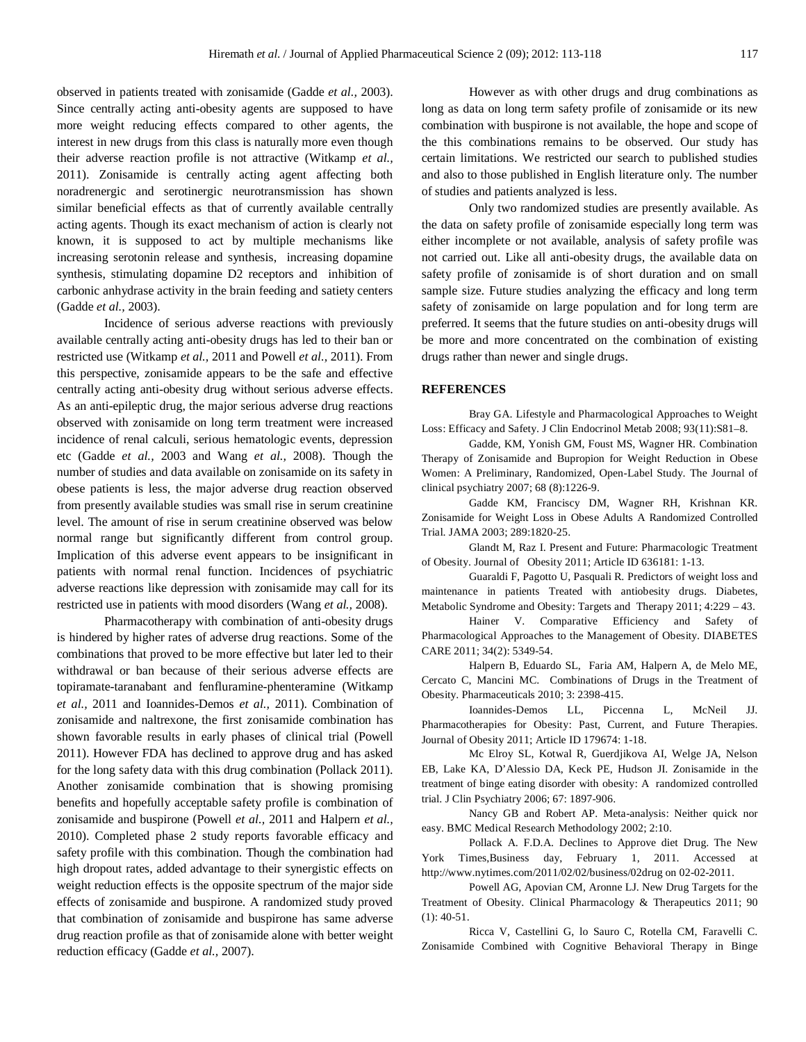observed in patients treated with zonisamide (Gadde *et al.,* 2003). Since centrally acting anti-obesity agents are supposed to have more weight reducing effects compared to other agents, the interest in new drugs from this class is naturally more even though their adverse reaction profile is not attractive (Witkamp *et al.,* 2011). Zonisamide is centrally acting agent affecting both noradrenergic and serotinergic neurotransmission has shown similar beneficial effects as that of currently available centrally acting agents. Though its exact mechanism of action is clearly not known, it is supposed to act by multiple mechanisms like increasing serotonin release and synthesis, increasing dopamine synthesis, stimulating dopamine D2 receptors and inhibition of carbonic anhydrase activity in the brain feeding and satiety centers (Gadde *et al.,* 2003).

Incidence of serious adverse reactions with previously available centrally acting anti-obesity drugs has led to their ban or restricted use (Witkamp *et al.,* 2011 and Powell *et al.,* 2011). From this perspective, zonisamide appears to be the safe and effective centrally acting anti-obesity drug without serious adverse effects. As an anti-epileptic drug, the major serious adverse drug reactions observed with zonisamide on long term treatment were increased incidence of renal calculi, serious hematologic events, depression etc (Gadde *et al.,* 2003 and Wang *et al.,* 2008). Though the number of studies and data available on zonisamide on its safety in obese patients is less, the major adverse drug reaction observed from presently available studies was small rise in serum creatinine level. The amount of rise in serum creatinine observed was below normal range but significantly different from control group. Implication of this adverse event appears to be insignificant in patients with normal renal function. Incidences of psychiatric adverse reactions like depression with zonisamide may call for its restricted use in patients with mood disorders (Wang *et al.,* 2008).

Pharmacotherapy with combination of anti-obesity drugs is hindered by higher rates of adverse drug reactions. Some of the combinations that proved to be more effective but later led to their withdrawal or ban because of their serious adverse effects are topiramate-taranabant and fenfluramine-phenteramine (Witkamp *et al.,* 2011 and Ioannides-Demos *et al.,* 2011). Combination of zonisamide and naltrexone, the first zonisamide combination has shown favorable results in early phases of clinical trial (Powell 2011). However FDA has declined to approve drug and has asked for the long safety data with this drug combination (Pollack 2011). Another zonisamide combination that is showing promising benefits and hopefully acceptable safety profile is combination of zonisamide and buspirone (Powell *et al.,* 2011 and Halpern *et al.,* 2010). Completed phase 2 study reports favorable efficacy and safety profile with this combination. Though the combination had high dropout rates, added advantage to their synergistic effects on weight reduction effects is the opposite spectrum of the major side effects of zonisamide and buspirone. A randomized study proved that combination of zonisamide and buspirone has same adverse drug reaction profile as that of zonisamide alone with better weight reduction efficacy (Gadde *et al.,* 2007).

However as with other drugs and drug combinations as long as data on long term safety profile of zonisamide or its new combination with buspirone is not available, the hope and scope of the this combinations remains to be observed. Our study has certain limitations. We restricted our search to published studies and also to those published in English literature only. The number of studies and patients analyzed is less.

Only two randomized studies are presently available. As the data on safety profile of zonisamide especially long term was either incomplete or not available, analysis of safety profile was not carried out. Like all anti-obesity drugs, the available data on safety profile of zonisamide is of short duration and on small sample size. Future studies analyzing the efficacy and long term safety of zonisamide on large population and for long term are preferred. It seems that the future studies on anti-obesity drugs will be more and more concentrated on the combination of existing drugs rather than newer and single drugs.

# **REFERENCES**

Bray GA. Lifestyle and Pharmacological Approaches to Weight Loss: Efficacy and Safety. J Clin Endocrinol Metab 2008; 93(11):S81–8.

Gadde, KM, Yonish GM, Foust MS, Wagner HR. Combination Therapy of Zonisamide and Bupropion for Weight Reduction in Obese Women: A Preliminary, Randomized, Open-Label Study. The Journal of clinical psychiatry 2007; 68 (8):1226-9.

Gadde KM, Franciscy DM, Wagner RH, Krishnan KR. Zonisamide for Weight Loss in Obese Adults A Randomized Controlled Trial. JAMA 2003; 289:1820-25.

Glandt M, Raz I. Present and Future: Pharmacologic Treatment of Obesity. Journal of Obesity 2011; Article ID 636181: 1-13.

Guaraldi F, Pagotto U, Pasquali R. Predictors of weight loss and maintenance in patients Treated with antiobesity drugs. Diabetes, Metabolic Syndrome and Obesity: Targets and Therapy 2011; 4:229 – 43.

Hainer V. Comparative Efficiency and Safety of Pharmacological Approaches to the Management of Obesity. DIABETES CARE 2011; 34(2): 5349-54.

Halpern B, Eduardo SL, Faria AM, Halpern A, de Melo ME, Cercato C, Mancini MC. Combinations of Drugs in the Treatment of Obesity. Pharmaceuticals 2010; 3: 2398-415.

Ioannides-Demos LL, Piccenna L, McNeil JJ. Pharmacotherapies for Obesity: Past, Current, and Future Therapies. Journal of Obesity 2011; Article ID 179674: 1-18.

Mc Elroy SL, Kotwal R, Guerdjikova AI, Welge JA, Nelson EB, Lake KA, D'Alessio DA, Keck PE, Hudson JI. Zonisamide in the treatment of binge eating disorder with obesity: A randomized controlled trial. J Clin Psychiatry 2006; 67: 1897-906.

Nancy GB and Robert AP. Meta-analysis: Neither quick nor easy. BMC Medical Research Methodology 2002; 2:10.

Pollack A. F.D.A. Declines to Approve diet Drug. The New York Times, Business day, February 1, 2011. Accessed http://www.nytimes.com/2011/02/02/business/02drug on 02-02-2011.

Powell AG, Apovian CM, Aronne LJ. New Drug Targets for the Treatment of Obesity. Clinical Pharmacology & Therapeutics 2011; 90 (1): 40-51.

Ricca V, Castellini G, lo Sauro C, Rotella CM, Faravelli C. Zonisamide Combined with Cognitive Behavioral Therapy in Binge